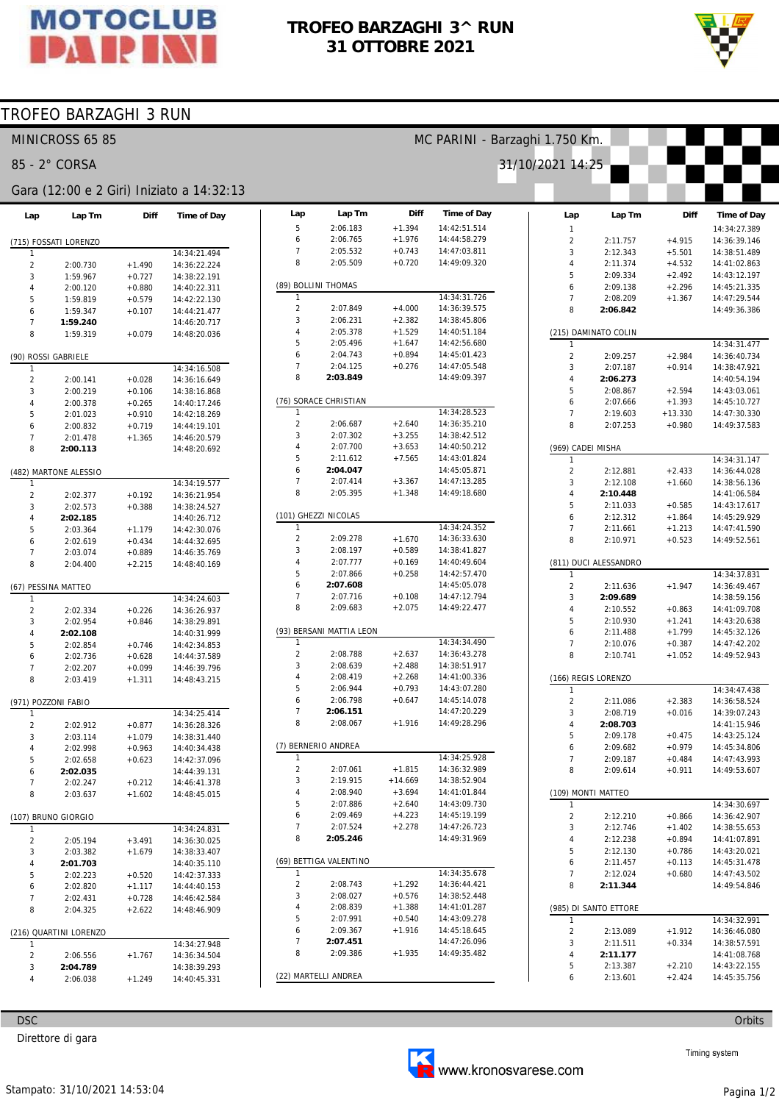

## TROFEO BARZAGHI 3^ RUN 31 OTTOBRE 2021



## TROFEO BARZAGHI 3 RUN

|                         | MINICROSS 65 85        |                      |                                           | MC PARINI - Barzaghi 1.750 Km. |                          |                      |                              |                     |                       |                      |                              |  |
|-------------------------|------------------------|----------------------|-------------------------------------------|--------------------------------|--------------------------|----------------------|------------------------------|---------------------|-----------------------|----------------------|------------------------------|--|
|                         | 85 - 2° CORSA          |                      |                                           |                                |                          |                      |                              | 31/10/2021 14:25    |                       |                      |                              |  |
|                         |                        |                      | Gara (12:00 e 2 Giri) Iniziato a 14:32:13 |                                |                          |                      |                              |                     |                       |                      |                              |  |
| Lap                     | Lap Tm                 | <b>Diff</b>          | Time of Day                               | Lap                            | Lap Tm                   | Diff                 | <b>Time of Day</b>           | Lap                 | Lap Tm                | Diff                 | Time of Day                  |  |
|                         |                        |                      |                                           | 5                              | 2:06.183                 | $+1.394$             | 14:42:51.514                 | $\mathbf{1}$        |                       |                      | 14:34:27.389                 |  |
|                         | (715) FOSSATI LORENZO  |                      |                                           | 6<br>$\overline{7}$            | 2:06.765<br>2:05.532     | $+1.976$<br>$+0.743$ | 14:44:58.279<br>14:47:03.811 | $\overline{c}$      | 2:11.757              | $+4.915$             | 14:36:39.146                 |  |
|                         |                        |                      | 14:34:21.494                              | 8                              | 2:05.509                 | $+0.720$             | 14:49:09.320                 | 3<br>4              | 2:12.343<br>2:11.374  | $+5.501$<br>$+4.532$ | 14:38:51.489<br>14:41:02.863 |  |
| $\overline{2}$<br>3     | 2:00.730<br>1:59.967   | $+1.490$<br>$+0.727$ | 14:36:22.224<br>14:38:22.191              |                                |                          |                      |                              | 5                   | 2:09.334              | $+2.492$             | 14:43:12.197                 |  |
| $\overline{4}$          | 2:00.120               | $+0.880$             | 14:40:22.311                              |                                | (89) BOLLINI THOMAS      |                      |                              | 6                   | 2:09.138              | $+2.296$             | 14:45:21.335                 |  |
| 5                       | 1:59.819               | $+0.579$             | 14:42:22.130                              |                                |                          |                      | 14:34:31.726                 | $\overline{7}$      | 2:08.209              | $+1.367$             | 14:47:29.544                 |  |
| 6                       | 1:59.347               | $+0.107$             | 14:44:21.477                              | $\overline{c}$                 | 2:07.849                 | $+4.000$             | 14:36:39.575                 | 8                   | 2:06.842              |                      | 14:49:36.386                 |  |
| $\overline{7}$          | 1:59.240               |                      | 14:46:20.717                              | 3                              | 2:06.231                 | $+2.382$             | 14:38:45.806                 |                     |                       |                      |                              |  |
| 8                       | 1:59.319               | $+0.079$             | 14:48:20.036                              | 4                              | 2:05.378                 | $+1.529$             | 14:40:51.184                 |                     | (215) DAMINATO COLIN  |                      |                              |  |
|                         |                        |                      |                                           | 5                              | 2:05.496                 | $+1.647$             | 14:42:56.680                 |                     |                       |                      | 14:34:31.477                 |  |
|                         | (90) ROSSI GABRIELE    |                      |                                           | 6                              | 2:04.743                 | $+0.894$             | 14:45:01.423                 | $\overline{c}$      | 2:09.257              | $+2.984$             | 14:36:40.734                 |  |
|                         |                        |                      | 14:34:16.508                              | $\overline{7}$<br>8            | 2:04.125<br>2:03.849     | $+0.276$             | 14:47:05.548<br>14:49:09.397 | 3                   | 2:07.187              | $+0.914$             | 14:38:47.921                 |  |
| $\overline{2}$          | 2:00.141               | $+0.028$             | 14:36:16.649                              |                                |                          |                      |                              | $\overline{4}$<br>5 | 2:06.273<br>2:08.867  | $+2.594$             | 14:40:54.194<br>14:43:03.061 |  |
| 3<br>$\overline{4}$     | 2:00.219               | $+0.106$             | 14:38:16.868<br>14:40:17.246              |                                | (76) SORACE CHRISTIAN    |                      |                              | 6                   | 2:07.666              | $+1.393$             | 14:45:10.727                 |  |
| 5                       | 2:00.378<br>2:01.023   | $+0.265$<br>$+0.910$ | 14:42:18.269                              | 1                              |                          |                      | 14:34:28.523                 | $\overline{7}$      | 2:19.603              | $+13.330$            | 14:47:30.330                 |  |
| 6                       | 2:00.832               | $+0.719$             | 14:44:19.101                              | $\sqrt{2}$                     | 2:06.687                 | $+2.640$             | 14:36:35.210                 | 8                   | 2:07.253              | $+0.980$             | 14:49:37.583                 |  |
| $\overline{7}$          | 2:01.478               | $+1.365$             | 14:46:20.579                              | 3                              | 2:07.302                 | $+3.255$             | 14:38:42.512                 |                     |                       |                      |                              |  |
| 8                       | 2:00.113               |                      | 14:48:20.692                              | 4                              | 2:07.700                 | $+3.653$             | 14:40:50.212                 | (969) CADEI MISHA   |                       |                      |                              |  |
|                         |                        |                      |                                           | 5                              | 2:11.612                 | $+7.565$             | 14:43:01.824                 | 1                   |                       |                      | 14:34:31.147                 |  |
|                         | (482) MARTONE ALESSIO  |                      |                                           | 6                              | 2:04.047                 |                      | 14:45:05.871                 | $\sqrt{2}$          | 2:12.881              | $+2.433$             | 14:36:44.028                 |  |
| -1                      |                        |                      | 14:34:19.577                              | 7                              | 2:07.414                 | $+3.367$             | 14:47:13.285                 | 3                   | 2:12.108              | $+1.660$             | 14:38:56.136                 |  |
| $\overline{2}$          | 2:02.377               | $+0.192$             | 14:36:21.954                              | 8                              | 2:05.395                 | $+1.348$             | 14:49:18.680                 | 4                   | 2:10.448              |                      | 14:41:06.584                 |  |
| 3                       | 2:02.573               | $+0.388$             | 14:38:24.527                              |                                |                          |                      |                              | 5                   | 2:11.033              | $+0.585$             | 14:43:17.617                 |  |
| $\overline{4}$          | 2:02.185               |                      | 14:40:26.712                              |                                | (101) GHEZZI NICOLAS     |                      |                              | 6                   | 2:12.312              | $+1.864$             | 14:45:29.929                 |  |
| 5                       | 2:03.364               | $+1.179$             | 14:42:30.076                              | 1                              |                          |                      | 14:34:24.352                 | $\overline{7}$      | 2:11.661              | $+1.213$             | 14:47:41.590                 |  |
| 6                       | 2:02.619               | $+0.434$             | 14:44:32.695                              | $\overline{2}$                 | 2:09.278                 | $+1.670$             | 14:36:33.630                 | 8                   | 2:10.971              | $+0.523$             | 14:49:52.561                 |  |
| $\overline{7}$          | 2:03.074               | $+0.889$             | 14:46:35.769                              | 3<br>$\overline{4}$            | 2:08.197                 | $+0.589$             | 14:38:41.827                 |                     |                       |                      |                              |  |
| 8                       | 2:04.400               | $+2.215$             | 14:48:40.169                              |                                | 2:07.777                 | $+0.169$             | 14:40:49.604                 |                     | (811) DUCI ALESSANDRO |                      |                              |  |
|                         |                        |                      |                                           | 5<br>6                         | 2:07.866<br>2:07.608     | $+0.258$             | 14:42:57.470<br>14:45:05.078 | 1                   |                       |                      | 14:34:37.831                 |  |
|                         | (67) PESSINA MATTEO    |                      |                                           | $\overline{7}$                 | 2:07.716                 | $+0.108$             | 14:47:12.794                 | $\overline{c}$<br>3 | 2:11.636<br>2:09.689  | $+1.947$             | 14:36:49.467<br>14:38:59.156 |  |
| $\overline{2}$          |                        |                      | 14:34:24.603                              | 8                              | 2:09.683                 | $+2.075$             | 14:49:22.477                 | 4                   | 2:10.552              | $+0.863$             | 14:41:09.708                 |  |
| 3                       | 2:02.334<br>2:02.954   | $+0.226$<br>$+0.846$ | 14:36:26.937<br>14:38:29.891              |                                |                          |                      |                              | 5                   | 2:10.930              | $+1.241$             | 14:43:20.638                 |  |
| $\overline{4}$          | 2:02.108               |                      | 14:40:31.999                              |                                | (93) BERSANI MATTIA LEON |                      |                              | 6                   | 2:11.488              | $+1.799$             | 14:45:32.126                 |  |
| 5                       | 2:02.854               | $+0.746$             | 14:42:34.853                              |                                |                          |                      | 14:34:34.490                 | $\overline{7}$      | 2:10.076              | $+0.387$             | 14:47:42.202                 |  |
| 6                       | 2:02.736               | $+0.628$             | 14:44:37.589                              | 2                              | 2:08.788                 | $+2.637$             | 14:36:43.278                 | 8                   | 2:10.741              | $+1.052$             | 14:49:52.943                 |  |
| $\overline{7}$          | 2:02.207               | $+0.099$             | 14:46:39.796                              | 3                              | 2:08.639                 | $+2.488$             | 14:38:51.917                 |                     |                       |                      |                              |  |
| 8                       | 2:03.419               | $+1.311$             | 14:48:43.215                              | 4                              | 2:08.419                 | $+2.268$             | 14:41:00.336                 |                     | (166) REGIS LORENZO   |                      |                              |  |
|                         |                        |                      |                                           | 5                              | 2:06.944                 | $+0.793$             | 14:43:07.280                 | 1                   |                       |                      | 14:34:47.438                 |  |
|                         | (971) POZZONI FABIO    |                      |                                           | 6                              | 2:06.798                 | $+0.647$             | 14:45:14.078                 | $\overline{c}$      | 2:11.086              | $+2.383$             | 14:36:58.524                 |  |
|                         |                        |                      | 14:34:25.414                              | $\overline{7}$                 | 2:06.151                 |                      | 14:47:20.229                 | 3                   | 2:08.719              | $+0.016$             | 14:39:07.243                 |  |
| $\overline{\mathbf{c}}$ | 2:02.912               | $+0.877$             | 14:36:28.326                              | 8                              | 2:08.067                 | $+1.916$             | 14:49:28.296                 | 4                   | 2:08.703              |                      | 14:41:15.946                 |  |
| 3                       | 2:03.114               | $+1.079$             | 14:38:31.440                              |                                | (7) BERNERIO ANDREA      |                      |                              | 5                   | 2:09.178              | $+0.475$             | 14:43:25.124                 |  |
| 4                       | 2:02.998               | $+0.963$             | 14:40:34.438                              | 1                              |                          |                      | 14:34:25.928                 | 6                   | 2:09.682              | $+0.979$             | 14:45:34.806                 |  |
| 5                       | 2:02.658               | $+0.623$             | 14:42:37.096                              | $\sqrt{2}$                     | 2:07.061                 | $+1.815$             | 14:36:32.989                 | 7<br>8              | 2:09.187<br>2:09.614  | $+0.484$<br>$+0.911$ | 14:47:43.993<br>14:49:53.607 |  |
| 6<br>$\overline{7}$     | 2:02.035               |                      | 14:44:39.131<br>14:46:41.378              | 3                              | 2:19.915                 | $+14.669$            | 14:38:52.904                 |                     |                       |                      |                              |  |
| 8                       | 2:02.247               | $+0.212$             |                                           | 4                              | 2:08.940                 | $+3.694$             | 14:41:01.844                 |                     | (109) MONTI MATTEO    |                      |                              |  |
|                         | 2:03.637               | $+1.602$             | 14:48:45.015                              | 5                              | 2:07.886                 | $+2.640$             | 14:43:09.730                 | 1                   |                       |                      | 14:34:30.697                 |  |
|                         | (107) BRUNO GIORGIO    |                      |                                           | 6                              | 2:09.469                 | $+4.223$             | 14:45:19.199                 | $\sqrt{2}$          | 2:12.210              | $+0.866$             | 14:36:42.907                 |  |
|                         |                        |                      | 14:34:24.831                              | $\overline{7}$                 | 2:07.524                 | $+2.278$             | 14:47:26.723                 | 3                   | 2:12.746              | $+1.402$             | 14:38:55.653                 |  |
| $\sqrt{2}$              | 2:05.194               | $+3.491$             | 14:36:30.025                              | 8                              | 2:05.246                 |                      | 14:49:31.969                 | 4                   | 2:12.238              | $+0.894$             | 14:41:07.891                 |  |
| 3                       | 2:03.382               | $+1.679$             | 14:38:33.407                              |                                |                          |                      |                              | 5                   | 2:12.130              | $+0.786$             | 14:43:20.021                 |  |
| 4                       | 2:01.703               |                      | 14:40:35.110                              |                                | (69) BETTIGA VALENTINO   |                      |                              | 6                   | 2:11.457              | $+0.113$             | 14:45:31.478                 |  |
| 5                       | 2:02.223               | $+0.520$             | 14:42:37.333                              | 1                              |                          |                      | 14:34:35.678                 | $\overline{7}$      | 2:12.024              | $+0.680$             | 14:47:43.502                 |  |
| 6                       | 2:02.820               | $+1.117$             | 14:44:40.153                              | $\overline{2}$                 | 2:08.743                 | $+1.292$             | 14:36:44.421                 | 8                   | 2:11.344              |                      | 14:49:54.846                 |  |
| $\overline{7}$          | 2:02.431               | $+0.728$             | 14:46:42.584                              | 3                              | 2:08.027                 | $+0.576$             | 14:38:52.448                 |                     |                       |                      |                              |  |
| 8                       | 2:04.325               | $+2.622$             | 14:48:46.909                              | 4                              | 2:08.839                 | $+1.388$             | 14:41:01.287                 |                     | (985) DI SANTO ETTORE |                      |                              |  |
|                         |                        |                      |                                           | 5                              | 2:07.991                 | $+0.540$             | 14:43:09.278                 | 1                   |                       |                      | 14:34:32.991                 |  |
|                         | (216) QUARTINI LORENZO |                      |                                           | 6                              | 2:09.367                 | $+1.916$             | 14:45:18.645                 | $\overline{c}$      | 2:13.089              | $+1.912$             | 14:36:46.080                 |  |
|                         |                        |                      |                                           | $\overline{7}$                 | 2:07.451                 |                      | 14:47:26.096                 | 3                   | 2:11.511              | $+0.334$             | 14:38:57.591                 |  |
| $\mathbf{1}$            |                        |                      | 14:34:27.948                              |                                |                          |                      |                              |                     |                       |                      |                              |  |
| $\overline{2}$          | 2:06.556               | $+1.767$             | 14:36:34.504                              | 8                              | 2:09.386                 | $+1.935$             | 14:49:35.482                 | 4                   | 2:11.177              |                      | 14:41:08.768                 |  |
| 3<br>4                  | 2:04.789<br>2:06.038   | $+1.249$             | 14:38:39.293<br>14:40:45.331              |                                | (22) MARTELLI ANDREA     |                      |                              | 5<br>6              | 2:13.387<br>2:13.601  | $+2.210$<br>$+2.424$ | 14:43:22.155<br>14:45:35.756 |  |

**DSC** 

Direttore di gara





Orbits